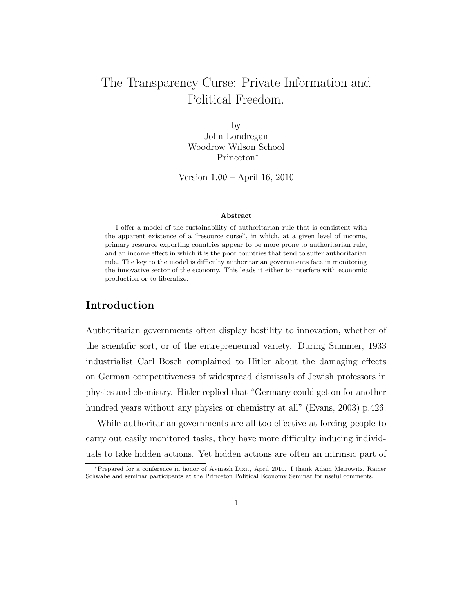# The Transparency Curse: Private Information and Political Freedom.

by John Londregan Woodrow Wilson School Princeton<sup>∗</sup>

Version 1.00 – April 16, 2010

#### Abstract

I offer a model of the sustainability of authoritarian rule that is consistent with the apparent existence of a "resource curse", in which, at a given level of income, primary resource exporting countries appear to be more prone to authoritarian rule, and an income effect in which it is the poor countries that tend to suffer authoritarian rule. The key to the model is difficulty authoritarian governments face in monitoring the innovative sector of the economy. This leads it either to interfere with economic production or to liberalize.

## Introduction

Authoritarian governments often display hostility to innovation, whether of the scientific sort, or of the entrepreneurial variety. During Summer, 1933 industrialist Carl Bosch complained to Hitler about the damaging effects on German competitiveness of widespread dismissals of Jewish professors in physics and chemistry. Hitler replied that "Germany could get on for another hundred years without any physics or chemistry at all" (Evans, 2003) p.426.

While authoritarian governments are all too effective at forcing people to carry out easily monitored tasks, they have more difficulty inducing individuals to take hidden actions. Yet hidden actions are often an intrinsic part of

<sup>∗</sup>Prepared for a conference in honor of Avinash Dixit, April 2010. I thank Adam Meirowitz, Rainer Schwabe and seminar participants at the Princeton Political Economy Seminar for useful comments.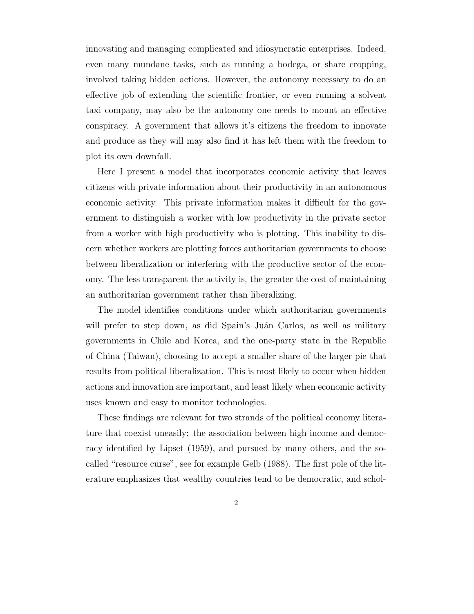innovating and managing complicated and idiosyncratic enterprises. Indeed, even many mundane tasks, such as running a bodega, or share cropping, involved taking hidden actions. However, the autonomy necessary to do an effective job of extending the scientific frontier, or even running a solvent taxi company, may also be the autonomy one needs to mount an effective conspiracy. A government that allows it's citizens the freedom to innovate and produce as they will may also find it has left them with the freedom to plot its own downfall.

Here I present a model that incorporates economic activity that leaves citizens with private information about their productivity in an autonomous economic activity. This private information makes it difficult for the government to distinguish a worker with low productivity in the private sector from a worker with high productivity who is plotting. This inability to discern whether workers are plotting forces authoritarian governments to choose between liberalization or interfering with the productive sector of the economy. The less transparent the activity is, the greater the cost of maintaining an authoritarian government rather than liberalizing.

The model identifies conditions under which authoritarian governments will prefer to step down, as did Spain's Juán Carlos, as well as military governments in Chile and Korea, and the one-party state in the Republic of China (Taiwan), choosing to accept a smaller share of the larger pie that results from political liberalization. This is most likely to occur when hidden actions and innovation are important, and least likely when economic activity uses known and easy to monitor technologies.

These findings are relevant for two strands of the political economy literature that coexist uneasily: the association between high income and democracy identified by Lipset (1959), and pursued by many others, and the socalled "resource curse", see for example Gelb (1988). The first pole of the literature emphasizes that wealthy countries tend to be democratic, and schol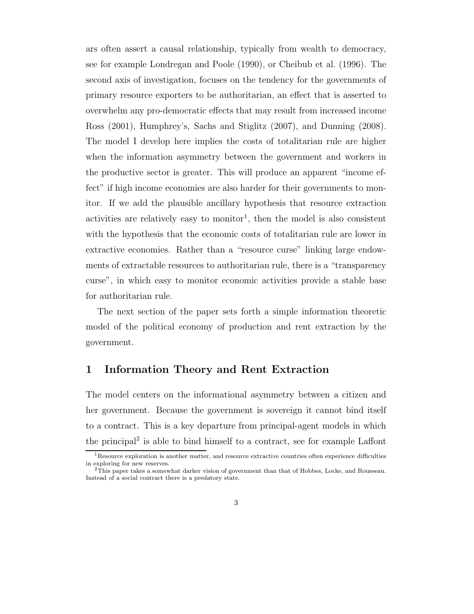ars often assert a causal relationship, typically from wealth to democracy, see for example Londregan and Poole (1990), or Cheibub et al. (1996). The second axis of investigation, focuses on the tendency for the governments of primary resource exporters to be authoritarian, an effect that is asserted to overwhelm any pro-democratic effects that may result from increased income Ross (2001), Humphrey's, Sachs and Stiglitz (2007), and Dunning (2008). The model I develop here implies the costs of totalitarian rule are higher when the information asymmetry between the government and workers in the productive sector is greater. This will produce an apparent "income effect" if high income economies are also harder for their governments to monitor. If we add the plausible ancillary hypothesis that resource extraction activities are relatively easy to monitor<sup>1</sup>, then the model is also consistent with the hypothesis that the economic costs of totalitarian rule are lower in extractive economies. Rather than a "resource curse" linking large endowments of extractable resources to authoritarian rule, there is a "transparency curse", in which easy to monitor economic activities provide a stable base for authoritarian rule.

The next section of the paper sets forth a simple information theoretic model of the political economy of production and rent extraction by the government.

## 1 Information Theory and Rent Extraction

The model centers on the informational asymmetry between a citizen and her government. Because the government is sovereign it cannot bind itself to a contract. This is a key departure from principal-agent models in which the principal<sup>2</sup> is able to bind himself to a contract, see for example Laffont

<sup>&</sup>lt;sup>1</sup>Resource exploration is another matter, and resource extractive countries often experience difficulties in exploring for new reserves. <sup>2</sup>This paper takes a somewhat darker vision of government than that of Hobbes, Locke, and Rousseau.

Instead of a social contract there is a predatory state.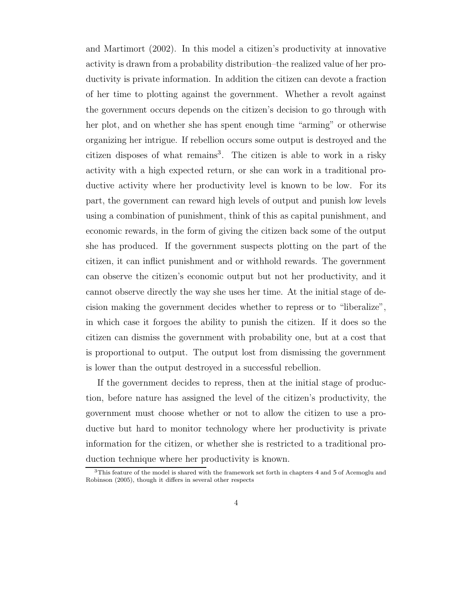and Martimort (2002). In this model a citizen's productivity at innovative activity is drawn from a probability distribution–the realized value of her productivity is private information. In addition the citizen can devote a fraction of her time to plotting against the government. Whether a revolt against the government occurs depends on the citizen's decision to go through with her plot, and on whether she has spent enough time "arming" or otherwise organizing her intrigue. If rebellion occurs some output is destroyed and the citizen disposes of what remains<sup>3</sup>. The citizen is able to work in a risky activity with a high expected return, or she can work in a traditional productive activity where her productivity level is known to be low. For its part, the government can reward high levels of output and punish low levels using a combination of punishment, think of this as capital punishment, and economic rewards, in the form of giving the citizen back some of the output she has produced. If the government suspects plotting on the part of the citizen, it can inflict punishment and or withhold rewards. The government can observe the citizen's economic output but not her productivity, and it cannot observe directly the way she uses her time. At the initial stage of decision making the government decides whether to repress or to "liberalize", in which case it forgoes the ability to punish the citizen. If it does so the citizen can dismiss the government with probability one, but at a cost that is proportional to output. The output lost from dismissing the government is lower than the output destroyed in a successful rebellion.

If the government decides to repress, then at the initial stage of production, before nature has assigned the level of the citizen's productivity, the government must choose whether or not to allow the citizen to use a productive but hard to monitor technology where her productivity is private information for the citizen, or whether she is restricted to a traditional production technique where her productivity is known.

<sup>3</sup>This feature of the model is shared with the framework set forth in chapters 4 and 5 of Acemoglu and Robinson (2005), though it differs in several other respects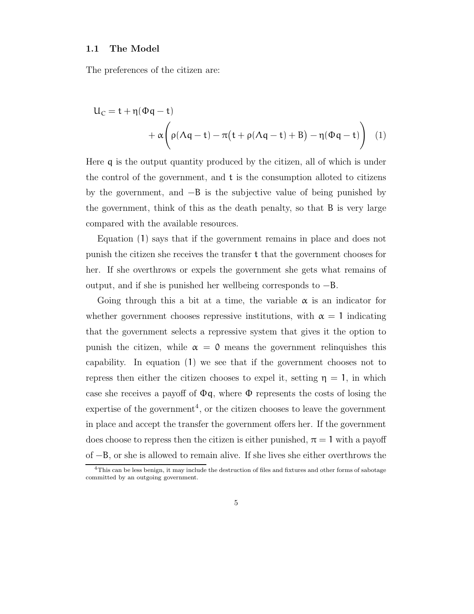#### 1.1 The Model

The preferences of the citizen are:

$$
U_C = t + \eta(\Phi q - t)
$$
  
+  $\alpha \left( \rho(\Lambda q - t) - \pi(t + \rho(\Lambda q - t) + B) - \eta(\Phi q - t) \right)$  (1)

Here q is the output quantity produced by the citizen, all of which is under the control of the government, and t is the consumption alloted to citizens by the government, and  $-B$  is the subjective value of being punished by the government, think of this as the death penalty, so that B is very large compared with the available resources.

Equation (1) says that if the government remains in place and does not punish the citizen she receives the transfer t that the government chooses for her. If she overthrows or expels the government she gets what remains of output, and if she is punished her wellbeing corresponds to −B.

Going through this a bit at a time, the variable  $\alpha$  is an indicator for whether government chooses repressive institutions, with  $\alpha = 1$  indicating that the government selects a repressive system that gives it the option to punish the citizen, while  $\alpha = 0$  means the government relinquishes this capability. In equation (1) we see that if the government chooses not to repress then either the citizen chooses to expel it, setting  $\eta = 1$ , in which case she receives a payoff of  $\Phi q$ , where  $\Phi$  represents the costs of losing the expertise of the government 4 , or the citizen chooses to leave the government in place and accept the transfer the government offers her. If the government does choose to repress then the citizen is either punished,  $\pi = 1$  with a payoff of −B, or she is allowed to remain alive. If she lives she either overthrows the

<sup>4</sup>This can be less benign, it may include the destruction of files and fixtures and other forms of sabotage committed by an outgoing government.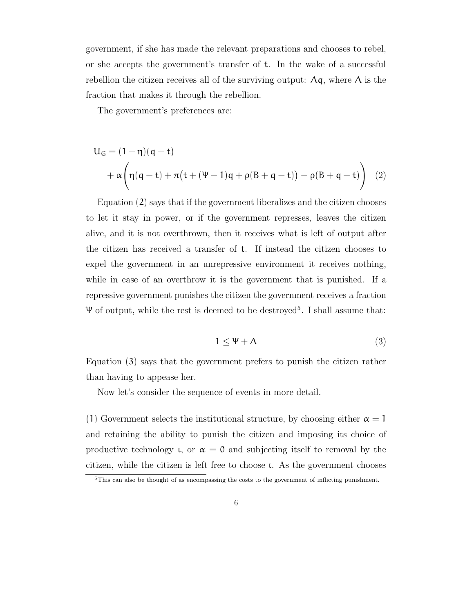government, if she has made the relevant preparations and chooses to rebel, or she accepts the government's transfer of t. In the wake of a successful rebellion the citizen receives all of the surviving output:  $\Lambda q$ , where  $\Lambda$  is the fraction that makes it through the rebellion.

The government's preferences are:

$$
U_G = (1 - \eta)(q - t) + \alpha \left( \eta(q - t) + \pi(t + (\Psi - 1)q + \rho(B + q - t)) - \rho(B + q - t) \right)
$$
(2)

Equation (2) says that if the government liberalizes and the citizen chooses to let it stay in power, or if the government represses, leaves the citizen alive, and it is not overthrown, then it receives what is left of output after the citizen has received a transfer of t. If instead the citizen chooses to expel the government in an unrepressive environment it receives nothing, while in case of an overthrow it is the government that is punished. If a repressive government punishes the citizen the government receives a fraction Ψ of output, while the rest is deemed to be destroyed<sup>5</sup> . I shall assume that:

$$
1 \le \Psi + \Lambda \tag{3}
$$

Equation (3) says that the government prefers to punish the citizen rather than having to appease her.

Now let's consider the sequence of events in more detail.

(1) Government selects the institutional structure, by choosing either  $\alpha = 1$ and retaining the ability to punish the citizen and imposing its choice of productive technology  $\mu$ , or  $\alpha = 0$  and subjecting itself to removal by the citizen, while the citizen is left free to choose ι. As the government chooses

<sup>5</sup>This can also be thought of as encompassing the costs to the government of inflicting punishment.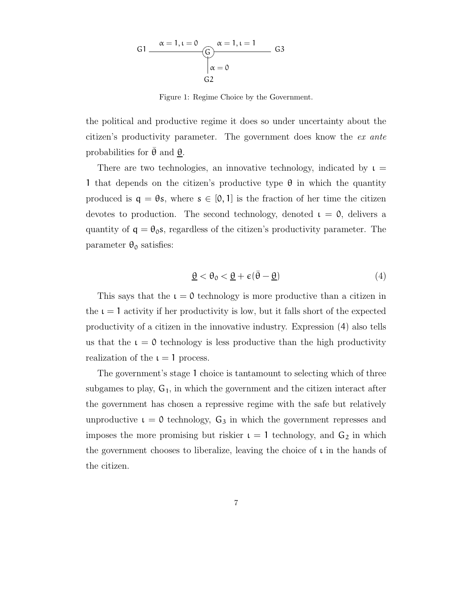G α = 1, ι = 0 α = 1, ι = 1 α = 0 G1 G3 G2

Figure 1: Regime Choice by the Government.

the political and productive regime it does so under uncertainty about the citizen's productivity parameter. The government does know the ex ante probabilities for  $\theta$  and  $\theta$ .

There are two technologies, an innovative technology, indicated by  $\iota =$ 1 that depends on the citizen's productive type  $\theta$  in which the quantity produced is  $q = \theta s$ , where  $s \in [0, 1]$  is the fraction of her time the citizen devotes to production. The second technology, denoted  $\iota = 0$ , delivers a quantity of  $q = \theta_0 s$ , regardless of the citizen's productivity parameter. The parameter  $\theta_0$  satisfies:

$$
\underline{\theta} < \theta_0 < \underline{\theta} + \varepsilon (\bar{\theta} - \underline{\theta}) \tag{4}
$$

This says that the  $\iota = 0$  technology is more productive than a citizen in the  $\iota = 1$  activity if her productivity is low, but it falls short of the expected productivity of a citizen in the innovative industry. Expression (4) also tells us that the  $\iota = 0$  technology is less productive than the high productivity realization of the  $\iota = 1$  process.

The government's stage 1 choice is tantamount to selecting which of three subgames to play,  $G_1$ , in which the government and the citizen interact after the government has chosen a repressive regime with the safe but relatively unproductive  $\iota = 0$  technology,  $G_3$  in which the government represses and imposes the more promising but riskier  $\iota = 1$  technology, and  $G_2$  in which the government chooses to liberalize, leaving the choice of  $\iota$  in the hands of the citizen.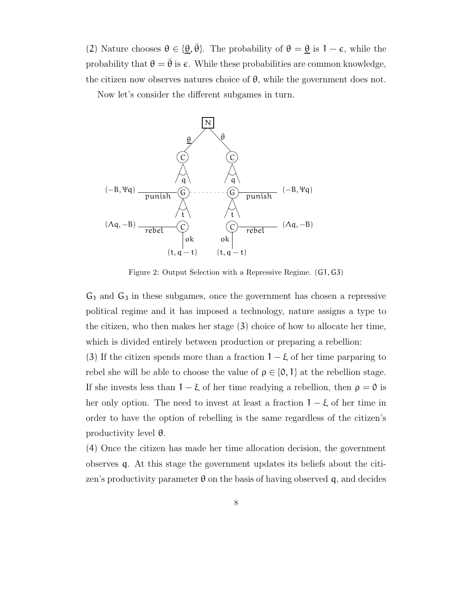(2) Nature chooses  $\theta \in {\{\theta, \bar{\theta}\}}$ . The probability of  $\theta = \theta$  is  $1 - \epsilon$ , while the probability that  $\theta = \bar{\theta}$  is  $\epsilon$ . While these probabilities are common knowledge, the citizen now observes natures choice of  $\theta$ , while the government does not.

Now let's consider the different subgames in turn.



Figure 2: Output Selection with a Repressive Regime. (G1, G3)

 $G_1$  and  $G_3$  in these subgames, once the government has chosen a repressive political regime and it has imposed a technology, nature assigns a type to the citizen, who then makes her stage (3) choice of how to allocate her time, which is divided entirely between production or preparing a rebellion:

(3) If the citizen spends more than a fraction  $1 - \xi$  of her time parparing to rebel she will be able to choose the value of  $\rho \in \{0, 1\}$  at the rebellion stage. If she invests less than  $1 - \xi$  of her time readying a rebellion, then  $\rho = 0$  is her only option. The need to invest at least a fraction  $1 - \xi$  of her time in order to have the option of rebelling is the same regardless of the citizen's productivity level θ.

(4) Once the citizen has made her time allocation decision, the government observes q. At this stage the government updates its beliefs about the citizen's productivity parameter  $\theta$  on the basis of having observed q, and decides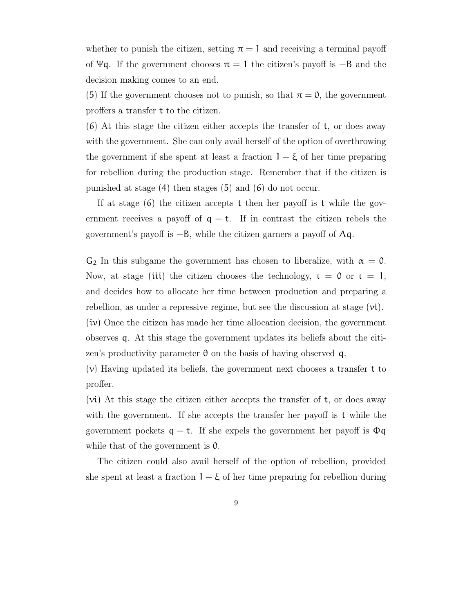whether to punish the citizen, setting  $\pi = 1$  and receiving a terminal payoff of  $\Psi q$ . If the government chooses  $\pi = 1$  the citizen's payoff is  $-B$  and the decision making comes to an end.

(5) If the government chooses not to punish, so that  $\pi = 0$ , the government proffers a transfer t to the citizen.

(6) At this stage the citizen either accepts the transfer of t, or does away with the government. She can only avail herself of the option of overthrowing the government if she spent at least a fraction  $1 - \xi$  of her time preparing for rebellion during the production stage. Remember that if the citizen is punished at stage (4) then stages (5) and (6) do not occur.

If at stage  $(6)$  the citizen accepts t then her payoff is t while the government receives a payoff of  $q - t$ . If in contrast the citizen rebels the government's payoff is  $-B$ , while the citizen garners a payoff of  $\Lambda q$ .

 $G_2$  In this subgame the government has chosen to liberalize, with  $\alpha = 0$ . Now, at stage (iii) the citizen chooses the technology,  $\iota = 0$  or  $\iota = 1$ , and decides how to allocate her time between production and preparing a rebellion, as under a repressive regime, but see the discussion at stage (vi). (iv) Once the citizen has made her time allocation decision, the government

observes q. At this stage the government updates its beliefs about the citizen's productivity parameter  $\theta$  on the basis of having observed q.

 $(v)$  Having updated its beliefs, the government next chooses a transfer t to proffer.

(vi) At this stage the citizen either accepts the transfer of t, or does away with the government. If she accepts the transfer her payoff is t while the government pockets  $q - t$ . If she expels the government her payoff is  $\Phi q$ while that of the government is  $\mathfrak{0}$ .

The citizen could also avail herself of the option of rebellion, provided she spent at least a fraction  $1 - \xi$  of her time preparing for rebellion during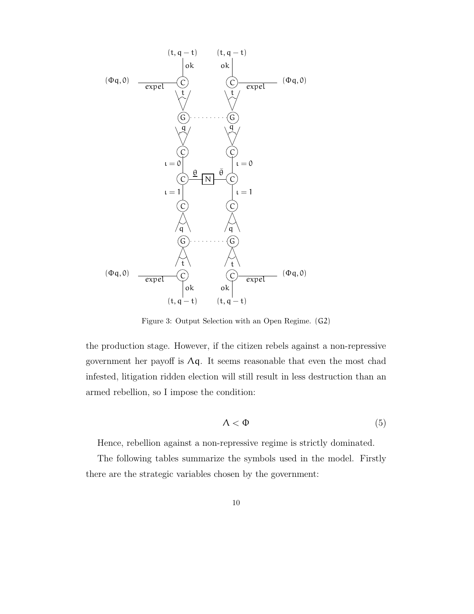

Figure 3: Output Selection with an Open Regime. (G2)

the production stage. However, if the citizen rebels against a non-repressive government her payoff is  $\Lambda q$ . It seems reasonable that even the most chad infested, litigation ridden election will still result in less destruction than an armed rebellion, so I impose the condition:

$$
\Lambda < \Phi \tag{5}
$$

Hence, rebellion against a non-repressive regime is strictly dominated.

The following tables summarize the symbols used in the model. Firstly there are the strategic variables chosen by the government: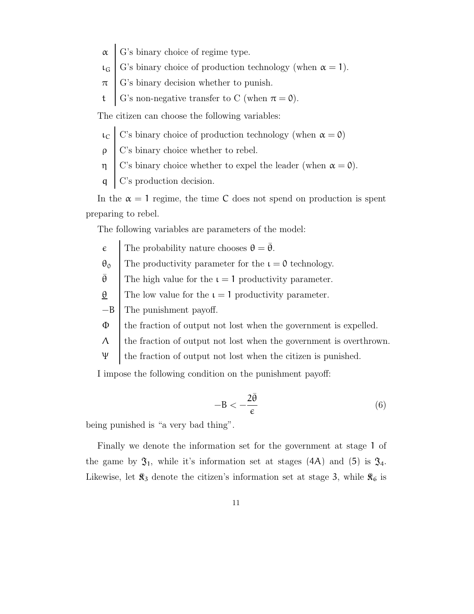- $\alpha$  G's binary choice of regime type.
- $\iota_{\mathsf{G}}$  G's binary choice of production technology (when  $\alpha = 1$ ).
- $\pi$  G's binary decision whether to punish.
- t | G's non-negative transfer to C (when  $\pi = 0$ ).

The citizen can choose the following variables:

- $\iota_{C}$  C's binary choice of production technology (when  $\alpha = 0$ )
- $\rho$  C's binary choice whether to rebel.
- $η \mid$  C's binary choice whether to expel the leader (when  $α = 0$ ).
- q C's production decision.

In the  $\alpha = 1$  regime, the time C does not spend on production is spent preparing to rebel.

The following variables are parameters of the model:

- $\epsilon$  The probability nature chooses  $\theta = \bar{\theta}$ .
- $\theta_0$  The productivity parameter for the  $\iota = 0$  technology.

 $\bar{\theta}$  The high value for the  $\iota = 1$  productivity parameter.

 $θ$  The low value for the  $ι = 1$  productivity parameter.

−B The punishment payoff.

- Φ the fraction of output not lost when the government is expelled.
- $\Lambda$  the fraction of output not lost when the government is overthrown.
- Ψ the fraction of output not lost when the citizen is punished.

I impose the following condition on the punishment payoff:

$$
-B < -\frac{2\bar{\theta}}{\epsilon} \tag{6}
$$

being punished is "a very bad thing".

Finally we denote the information set for the government at stage 1 of the game by  $\mathfrak{I}_1$ , while it's information set at stages (4A) and (5) is  $\mathfrak{I}_4$ . Likewise, let  $\mathcal{R}_3$  denote the citizen's information set at stage 3, while  $\mathcal{R}_6$  is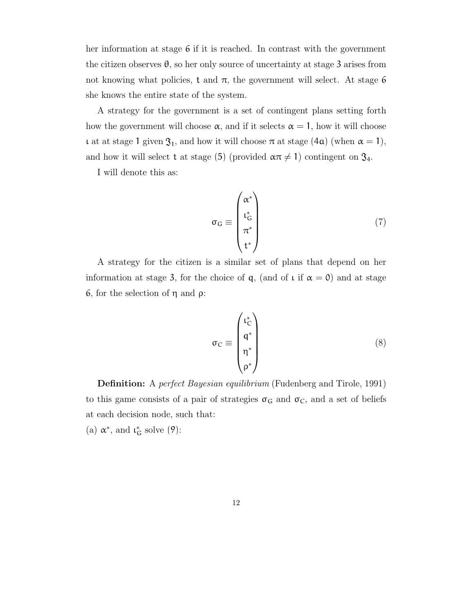her information at stage 6 if it is reached. In contrast with the government the citizen observes  $\theta$ , so her only source of uncertainty at stage 3 arises from not knowing what policies, t and  $\pi$ , the government will select. At stage 6 she knows the entire state of the system.

A strategy for the government is a set of contingent plans setting forth how the government will choose  $\alpha$ , and if it selects  $\alpha = 1$ , how it will choose **t** at stage 1 given  $\mathfrak{I}_1$ , and how it will choose  $\pi$  at stage (4a) (when  $\alpha = 1$ ), and how it will select t at stage (5) (provided  $\alpha \pi \neq 1$ ) contingent on  $\mathfrak{J}_4$ .

I will denote this as:

$$
\sigma_{\mathbf{G}} \equiv \begin{pmatrix} \alpha^* \\ \iota_{\mathbf{G}}^* \\ \pi^* \\ \mathbf{t}^* \end{pmatrix} \tag{7}
$$

A strategy for the citizen is a similar set of plans that depend on her information at stage 3, for the choice of q, (and of  $\iota$  if  $\alpha = 0$ ) and at stage 6, for the selection of η and ρ:

$$
\sigma_{\rm C} \equiv \begin{pmatrix} \iota_{\rm C}^* \\ q^* \\ \eta^* \\ \rho^* \end{pmatrix} \tag{8}
$$

Definition: A perfect Bayesian equilibrium (Fudenberg and Tirole, 1991) to this game consists of a pair of strategies  $\sigma_G$  and  $\sigma_C$ , and a set of beliefs at each decision node, such that:

(a)  $\alpha^*,$  and  $\iota_G^*$  solve (9):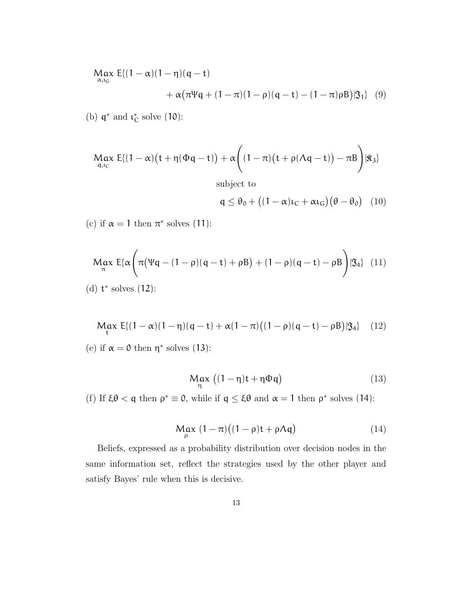$$
Max \ E\{(1-\alpha)(1-\eta)(q-t) + \alpha(\pi \Psi q + (1-\pi)(1-\rho)(q-t) - (1-\pi)\rho B)|\mathfrak{F}_1\} (9)
$$

(b)  $\mathfrak{q}^*$  and  $\iota_{\mathbb{C}}^*$  solve  $(10)$ :

$$
\underset{q,t_{C}}{\text{Max}}\ E\{(1-\alpha)\big(t+\eta(\Phi q-t)\big)+\alpha\bigg((1-\pi)\big(t+\rho(\Lambda q-t)\big)-\pi B\bigg)|\Re_{3}\}
$$

subject to

 $q \leq \theta_0 + ((1 - \alpha)\iota_C + \alpha\iota_G)(\theta - \theta_0)$  (10)

(c) if  $\alpha = 1$  then  $\pi^*$  solves (11):

$$
Max \ E\{\alpha\left(\pi(\Psi q - (1-\rho)(q-t)+\rho B) + (1-\rho)(q-t)-\rho B\right)|\mathfrak{Z}_{4}\} (11)
$$

(d) t ∗ solves (12):

$$
\mathsf{Max}_{t} E\{ (1-\alpha)(1-\eta)(q-t) + \alpha(1-\pi)((1-\rho)(q-t) - \rho B)|\mathfrak{F}_{4} \} (12)
$$

(e) if  $\alpha = 0$  then  $\eta^*$  solves (13):

$$
\underset{\eta}{\text{Max}}\,\left((1-\eta)t+\eta\Phi q\right) \tag{13}
$$

(f) If  $\xi \theta < q$  then  $\rho^* \equiv 0$ , while if  $q \leq \xi \theta$  and  $\alpha = 1$  then  $\rho^*$  solves (14):

$$
\mathop{\rm Max}_{\rho} (1 - \pi) \big( (1 - \rho)t + \rho \Lambda \mathfrak{q} \big) \tag{14}
$$

Beliefs, expressed as a probability distribution over decision nodes in the same information set, reflect the strategies used by the other player and satisfy Bayes' rule when this is decisive.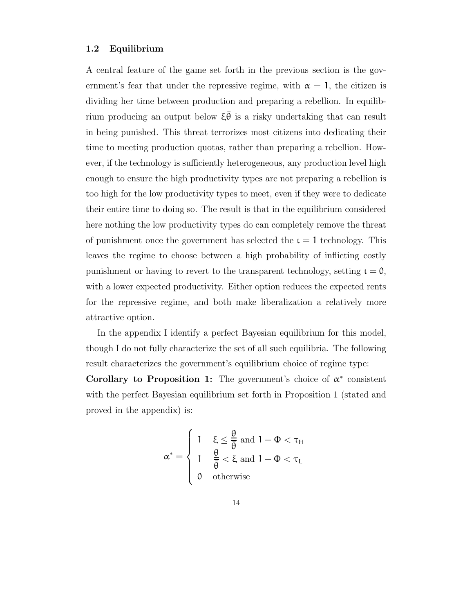#### 1.2 Equilibrium

A central feature of the game set forth in the previous section is the government's fear that under the repressive regime, with  $\alpha = 1$ , the citizen is dividing her time between production and preparing a rebellion. In equilibrium producing an output below  $\xi \theta$  is a risky undertaking that can result in being punished. This threat terrorizes most citizens into dedicating their time to meeting production quotas, rather than preparing a rebellion. However, if the technology is sufficiently heterogeneous, any production level high enough to ensure the high productivity types are not preparing a rebellion is too high for the low productivity types to meet, even if they were to dedicate their entire time to doing so. The result is that in the equilibrium considered here nothing the low productivity types do can completely remove the threat of punishment once the government has selected the  $\iota = 1$  technology. This leaves the regime to choose between a high probability of inflicting costly punishment or having to revert to the transparent technology, setting  $\iota = 0$ , with a lower expected productivity. Either option reduces the expected rents for the repressive regime, and both make liberalization a relatively more attractive option.

In the appendix I identify a perfect Bayesian equilibrium for this model, though I do not fully characterize the set of all such equilibria. The following result characterizes the government's equilibrium choice of regime type:

Corollary to Proposition 1: The government's choice of  $\alpha^*$  consistent with the perfect Bayesian equilibrium set forth in Proposition 1 (stated and proved in the appendix) is:

$$
\alpha^* = \begin{cases} 1 & \xi \le \frac{\theta}{\overline{\theta}} \text{ and } 1 - \Phi < \tau_H \\ 1 & \frac{\theta}{\overline{\theta}} < \xi \text{ and } 1 - \Phi < \tau_L \\ 0 & \text{otherwise} \end{cases}
$$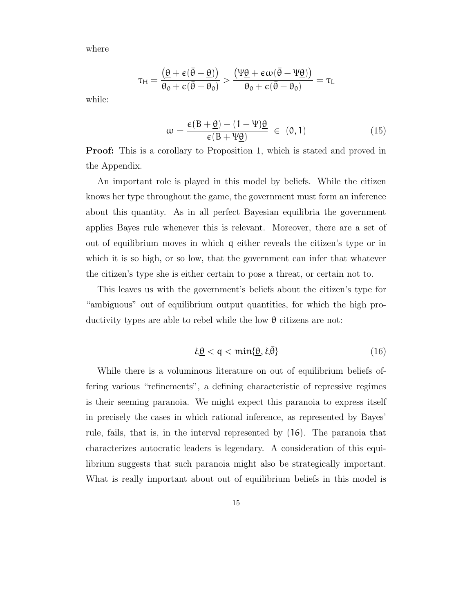where

$$
\tau_H = \frac{\left(\underline{\theta} + \varepsilon(\bar{\theta} - \underline{\theta})\right)}{\theta_0 + \varepsilon(\bar{\theta} - \theta_0)} > \frac{\left(\Psi \underline{\theta} + \varepsilon \omega(\bar{\theta} - \Psi \underline{\theta})\right)}{\theta_0 + \varepsilon(\bar{\theta} - \theta_0)} = \tau_L
$$

while:

$$
\omega = \frac{\epsilon (B + \underline{\theta}) - (1 - \Psi)\underline{\theta}}{\epsilon (B + \Psi \underline{\theta})} \in (0, 1)
$$
\n(15)

**Proof:** This is a corollary to Proposition 1, which is stated and proved in the Appendix.

An important role is played in this model by beliefs. While the citizen knows her type throughout the game, the government must form an inference about this quantity. As in all perfect Bayesian equilibria the government applies Bayes rule whenever this is relevant. Moreover, there are a set of out of equilibrium moves in which q either reveals the citizen's type or in which it is so high, or so low, that the government can infer that whatever the citizen's type she is either certain to pose a threat, or certain not to.

This leaves us with the government's beliefs about the citizen's type for "ambiguous" out of equilibrium output quantities, for which the high productivity types are able to rebel while the low θ citizens are not:

$$
\xi \underline{\theta} < q < \min\{\underline{\theta}, \xi \bar{\theta}\} \tag{16}
$$

While there is a voluminous literature on out of equilibrium beliefs offering various "refinements", a defining characteristic of repressive regimes is their seeming paranoia. We might expect this paranoia to express itself in precisely the cases in which rational inference, as represented by Bayes' rule, fails, that is, in the interval represented by (16). The paranoia that characterizes autocratic leaders is legendary. A consideration of this equilibrium suggests that such paranoia might also be strategically important. What is really important about out of equilibrium beliefs in this model is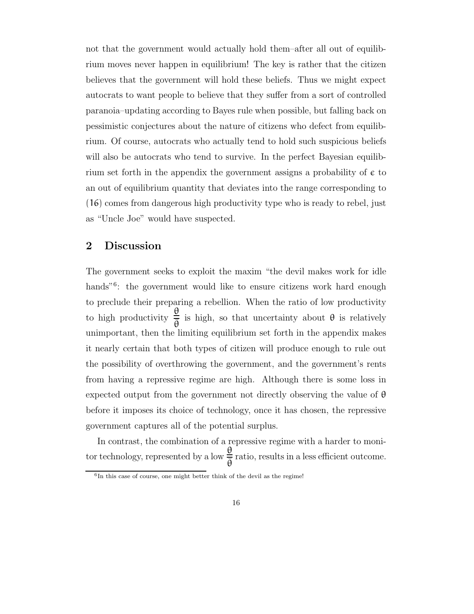not that the government would actually hold them–after all out of equilibrium moves never happen in equilibrium! The key is rather that the citizen believes that the government will hold these beliefs. Thus we might expect autocrats to want people to believe that they suffer from a sort of controlled paranoia–updating according to Bayes rule when possible, but falling back on pessimistic conjectures about the nature of citizens who defect from equilibrium. Of course, autocrats who actually tend to hold such suspicious beliefs will also be autocrats who tend to survive. In the perfect Bayesian equilibrium set forth in the appendix the government assigns a probability of  $\epsilon$  to an out of equilibrium quantity that deviates into the range corresponding to (16) comes from dangerous high productivity type who is ready to rebel, just as "Uncle Joe" would have suspected.

## 2 Discussion

The government seeks to exploit the maxim "the devil makes work for idle hands<sup>"6</sup>: the government would like to ensure citizens work hard enough to preclude their preparing a rebellion. When the ratio of low productivity to high productivity θ  $\frac{dS}{d\theta}$  is high, so that uncertainty about  $\theta$  is relatively unimportant, then the limiting equilibrium set forth in the appendix makes it nearly certain that both types of citizen will produce enough to rule out the possibility of overthrowing the government, and the government's rents from having a repressive regime are high. Although there is some loss in expected output from the government not directly observing the value of  $\theta$ before it imposes its choice of technology, once it has chosen, the repressive government captures all of the potential surplus.

In contrast, the combination of a repressive regime with a harder to monitor technology, represented by a low θ  $\frac{dS}{d\theta}$  ratio, results in a less efficient outcome.

<sup>&</sup>lt;sup>6</sup>In this case of course, one might better think of the devil as the regime!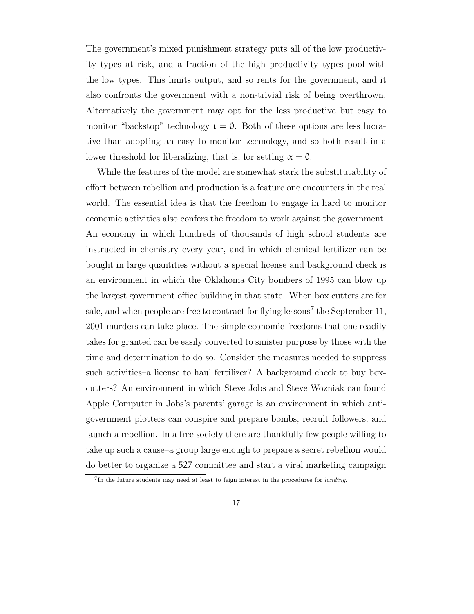The government's mixed punishment strategy puts all of the low productivity types at risk, and a fraction of the high productivity types pool with the low types. This limits output, and so rents for the government, and it also confronts the government with a non-trivial risk of being overthrown. Alternatively the government may opt for the less productive but easy to monitor "backstop" technology  $\iota = 0$ . Both of these options are less lucrative than adopting an easy to monitor technology, and so both result in a lower threshold for liberalizing, that is, for setting  $\alpha = 0$ .

While the features of the model are somewhat stark the substitutability of effort between rebellion and production is a feature one encounters in the real world. The essential idea is that the freedom to engage in hard to monitor economic activities also confers the freedom to work against the government. An economy in which hundreds of thousands of high school students are instructed in chemistry every year, and in which chemical fertilizer can be bought in large quantities without a special license and background check is an environment in which the Oklahoma City bombers of 1995 can blow up the largest government office building in that state. When box cutters are for sale, and when people are free to contract for flying lessons<sup>7</sup> the September 11, 2001 murders can take place. The simple economic freedoms that one readily takes for granted can be easily converted to sinister purpose by those with the time and determination to do so. Consider the measures needed to suppress such activities–a license to haul fertilizer? A background check to buy boxcutters? An environment in which Steve Jobs and Steve Wozniak can found Apple Computer in Jobs's parents' garage is an environment in which antigovernment plotters can conspire and prepare bombs, recruit followers, and launch a rebellion. In a free society there are thankfully few people willing to take up such a cause–a group large enough to prepare a secret rebellion would do better to organize a 527 committee and start a viral marketing campaign

<sup>&</sup>lt;sup>7</sup>In the future students may need at least to feign interest in the procedures for landing.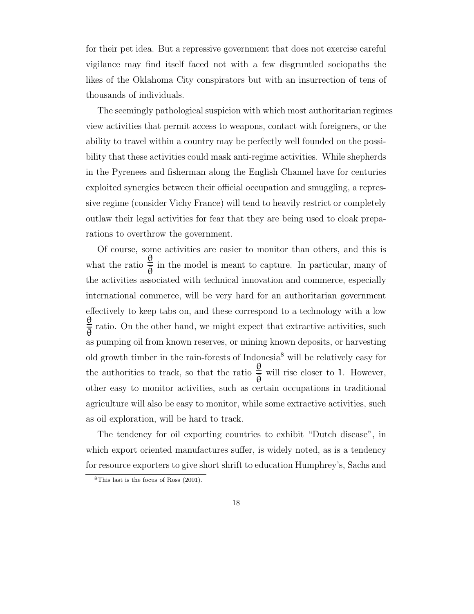for their pet idea. But a repressive government that does not exercise careful vigilance may find itself faced not with a few disgruntled sociopaths the likes of the Oklahoma City conspirators but with an insurrection of tens of thousands of individuals.

The seemingly pathological suspicion with which most authoritarian regimes view activities that permit access to weapons, contact with foreigners, or the ability to travel within a country may be perfectly well founded on the possibility that these activities could mask anti-regime activities. While shepherds in the Pyrenees and fisherman along the English Channel have for centuries exploited synergies between their official occupation and smuggling, a repressive regime (consider Vichy France) will tend to heavily restrict or completely outlaw their legal activities for fear that they are being used to cloak preparations to overthrow the government.

Of course, some activities are easier to monitor than others, and this is what the ratio θ  $\frac{d}{d\theta}$  in the model is meant to capture. In particular, many of the activities associated with technical innovation and commerce, especially international commerce, will be very hard for an authoritarian government effectively to keep tabs on, and these correspond to a technology with a low θ  $\frac{dS}{d\theta}$  ratio. On the other hand, we might expect that extractive activities, such as pumping oil from known reserves, or mining known deposits, or harvesting old growth timber in the rain-forests of Indonesia<sup>8</sup> will be relatively easy for the authorities to track, so that the ratio θ  $\frac{\Sigma}{\overline{\theta}}$  will rise closer to 1. However, other easy to monitor activities, such as certain occupations in traditional agriculture will also be easy to monitor, while some extractive activities, such as oil exploration, will be hard to track.

The tendency for oil exporting countries to exhibit "Dutch disease", in which export oriented manufactures suffer, is widely noted, as is a tendency for resource exporters to give short shrift to education Humphrey's, Sachs and

<sup>8</sup>This last is the focus of Ross (2001).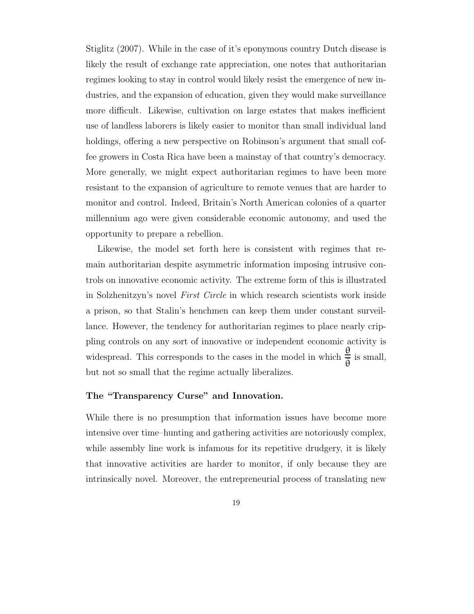Stiglitz (2007). While in the case of it's eponymous country Dutch disease is likely the result of exchange rate appreciation, one notes that authoritarian regimes looking to stay in control would likely resist the emergence of new industries, and the expansion of education, given they would make surveillance more difficult. Likewise, cultivation on large estates that makes inefficient use of landless laborers is likely easier to monitor than small individual land holdings, offering a new perspective on Robinson's argument that small coffee growers in Costa Rica have been a mainstay of that country's democracy. More generally, we might expect authoritarian regimes to have been more resistant to the expansion of agriculture to remote venues that are harder to monitor and control. Indeed, Britain's North American colonies of a quarter millennium ago were given considerable economic autonomy, and used the opportunity to prepare a rebellion.

Likewise, the model set forth here is consistent with regimes that remain authoritarian despite asymmetric information imposing intrusive controls on innovative economic activity. The extreme form of this is illustrated in Solzhenitzyn's novel First Circle in which research scientists work inside a prison, so that Stalin's henchmen can keep them under constant surveillance. However, the tendency for authoritarian regimes to place nearly crippling controls on any sort of innovative or independent economic activity is widespread. This corresponds to the cases in the model in which θ  $\frac{1}{\bar{\theta}}$  is small, but not so small that the regime actually liberalizes.

## The "Transparency Curse" and Innovation.

While there is no presumption that information issues have become more intensive over time–hunting and gathering activities are notoriously complex, while assembly line work is infamous for its repetitive drudgery, it is likely that innovative activities are harder to monitor, if only because they are intrinsically novel. Moreover, the entrepreneurial process of translating new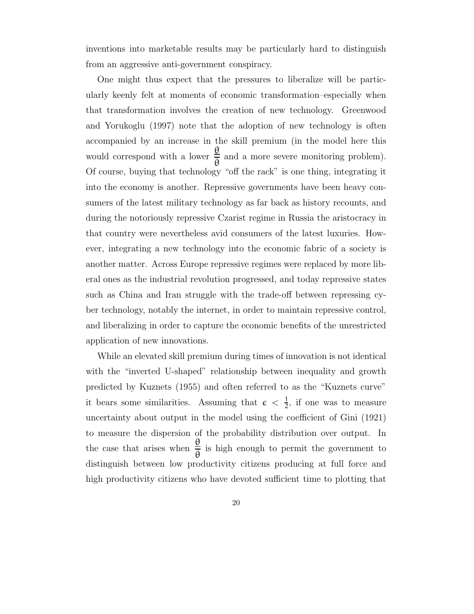inventions into marketable results may be particularly hard to distinguish from an aggressive anti-government conspiracy.

One might thus expect that the pressures to liberalize will be particularly keenly felt at moments of economic transformation–especially when that transformation involves the creation of new technology. Greenwood and Yorukoglu (1997) note that the adoption of new technology is often accompanied by an increase in the skill premium (in the model here this would correspond with a lower θ  $\frac{\epsilon}{\theta}$  and a more severe monitoring problem). Of course, buying that technology "off the rack" is one thing, integrating it into the economy is another. Repressive governments have been heavy consumers of the latest military technology as far back as history recounts, and during the notoriously repressive Czarist regime in Russia the aristocracy in that country were nevertheless avid consumers of the latest luxuries. However, integrating a new technology into the economic fabric of a society is another matter. Across Europe repressive regimes were replaced by more liberal ones as the industrial revolution progressed, and today repressive states such as China and Iran struggle with the trade-off between repressing cyber technology, notably the internet, in order to maintain repressive control, and liberalizing in order to capture the economic benefits of the unrestricted application of new innovations.

While an elevated skill premium during times of innovation is not identical with the "inverted U-shaped" relationship between inequality and growth predicted by Kuznets (1955) and often referred to as the "Kuznets curve" it bears some similarities. Assuming that  $\epsilon < \frac{1}{2}$  $\frac{1}{2}$ , if one was to measure uncertainty about output in the model using the coefficient of Gini (1921) to measure the dispersion of the probability distribution over output. In the case that arises when  $\frac{\theta}{\overline{6}}$  $\frac{dS}{d\theta}$  is high enough to permit the government to distinguish between low productivity citizens producing at full force and high productivity citizens who have devoted sufficient time to plotting that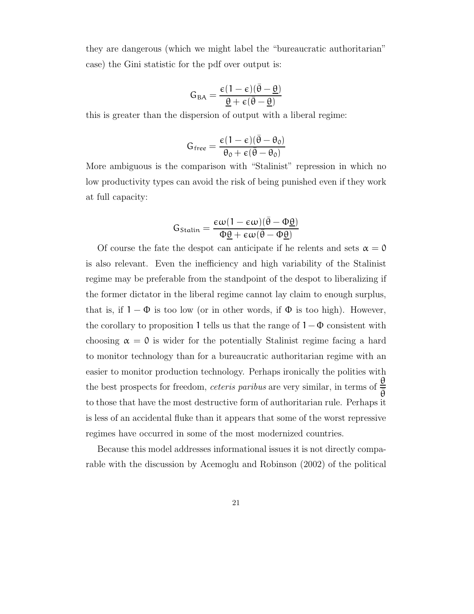they are dangerous (which we might label the "bureaucratic authoritarian" case) the Gini statistic for the pdf over output is:

$$
G_{BA} = \frac{\varepsilon(1-\varepsilon)(\bar{\theta}-\underline{\theta})}{\underline{\theta}+\varepsilon(\bar{\theta}-\underline{\theta})}
$$

this is greater than the dispersion of output with a liberal regime:

$$
G_{free}=\frac{\varepsilon(1-\varepsilon)(\bar{\theta}-\theta_0)}{\theta_0+\varepsilon(\bar{\theta}-\theta_0)}
$$

More ambiguous is the comparison with "Stalinist" repression in which no low productivity types can avoid the risk of being punished even if they work at full capacity:

$$
G_{\text{Stalin}}=\frac{\varepsilon\omega(1-\varepsilon\omega)(\bar{\theta}-\Phi\underline{\theta})}{\Phi\underline{\theta}+\varepsilon\omega(\bar{\theta}-\Phi\underline{\theta})}
$$

Of course the fate the despot can anticipate if he relents and sets  $\alpha = 0$ is also relevant. Even the inefficiency and high variability of the Stalinist regime may be preferable from the standpoint of the despot to liberalizing if the former dictator in the liberal regime cannot lay claim to enough surplus, that is, if  $1 - \Phi$  is too low (or in other words, if  $\Phi$  is too high). However, the corollary to proposition 1 tells us that the range of  $1-\Phi$  consistent with choosing  $\alpha = 0$  is wider for the potentially Stalinist regime facing a hard to monitor technology than for a bureaucratic authoritarian regime with an easier to monitor production technology. Perhaps ironically the polities with the best prospects for freedom, *ceteris paribus* are very similar, in terms of  $\frac{\theta}{\overline{5}}$  $\bar{\theta}$ to those that have the most destructive form of authoritarian rule. Perhaps it is less of an accidental fluke than it appears that some of the worst repressive regimes have occurred in some of the most modernized countries.

Because this model addresses informational issues it is not directly comparable with the discussion by Acemoglu and Robinson (2002) of the political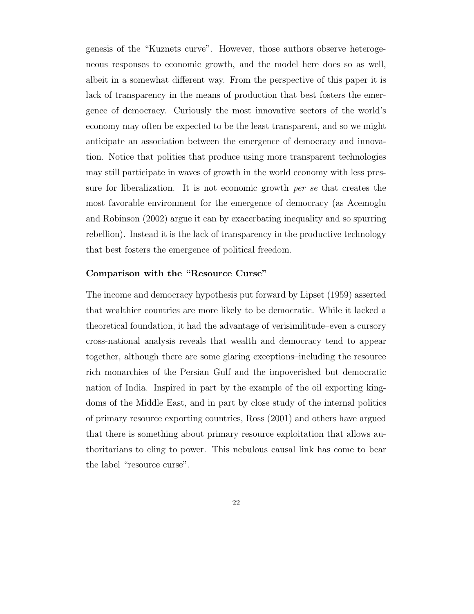genesis of the "Kuznets curve". However, those authors observe heterogeneous responses to economic growth, and the model here does so as well, albeit in a somewhat different way. From the perspective of this paper it is lack of transparency in the means of production that best fosters the emergence of democracy. Curiously the most innovative sectors of the world's economy may often be expected to be the least transparent, and so we might anticipate an association between the emergence of democracy and innovation. Notice that polities that produce using more transparent technologies may still participate in waves of growth in the world economy with less pressure for liberalization. It is not economic growth per se that creates the most favorable environment for the emergence of democracy (as Acemoglu and Robinson (2002) argue it can by exacerbating inequality and so spurring rebellion). Instead it is the lack of transparency in the productive technology that best fosters the emergence of political freedom.

## Comparison with the "Resource Curse"

The income and democracy hypothesis put forward by Lipset (1959) asserted that wealthier countries are more likely to be democratic. While it lacked a theoretical foundation, it had the advantage of verisimilitude–even a cursory cross-national analysis reveals that wealth and democracy tend to appear together, although there are some glaring exceptions–including the resource rich monarchies of the Persian Gulf and the impoverished but democratic nation of India. Inspired in part by the example of the oil exporting kingdoms of the Middle East, and in part by close study of the internal politics of primary resource exporting countries, Ross (2001) and others have argued that there is something about primary resource exploitation that allows authoritarians to cling to power. This nebulous causal link has come to bear the label "resource curse".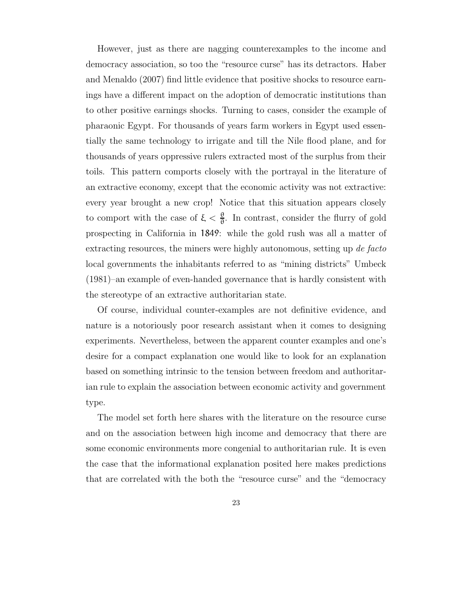However, just as there are nagging counterexamples to the income and democracy association, so too the "resource curse" has its detractors. Haber and Menaldo (2007) find little evidence that positive shocks to resource earnings have a different impact on the adoption of democratic institutions than to other positive earnings shocks. Turning to cases, consider the example of pharaonic Egypt. For thousands of years farm workers in Egypt used essentially the same technology to irrigate and till the Nile flood plane, and for thousands of years oppressive rulers extracted most of the surplus from their toils. This pattern comports closely with the portrayal in the literature of an extractive economy, except that the economic activity was not extractive: every year brought a new crop! Notice that this situation appears closely to comport with the case of  $\xi < \frac{\theta}{\theta}$  $\frac{9}{9}$ . In contrast, consider the flurry of gold prospecting in California in 1849: while the gold rush was all a matter of extracting resources, the miners were highly autonomous, setting up de facto local governments the inhabitants referred to as "mining districts" Umbeck (1981)–an example of even-handed governance that is hardly consistent with the stereotype of an extractive authoritarian state.

Of course, individual counter-examples are not definitive evidence, and nature is a notoriously poor research assistant when it comes to designing experiments. Nevertheless, between the apparent counter examples and one's desire for a compact explanation one would like to look for an explanation based on something intrinsic to the tension between freedom and authoritarian rule to explain the association between economic activity and government type.

The model set forth here shares with the literature on the resource curse and on the association between high income and democracy that there are some economic environments more congenial to authoritarian rule. It is even the case that the informational explanation posited here makes predictions that are correlated with the both the "resource curse" and the "democracy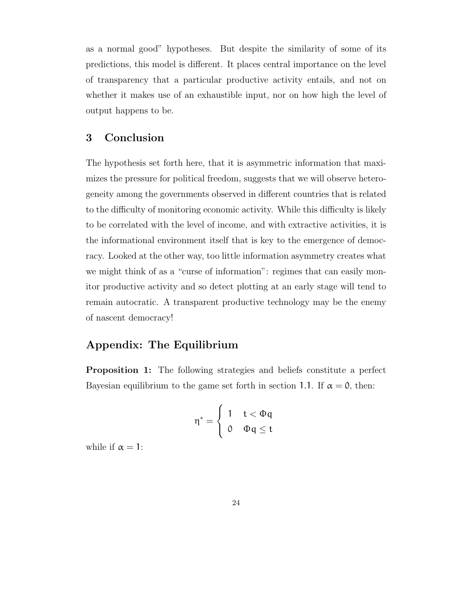as a normal good" hypotheses. But despite the similarity of some of its predictions, this model is different. It places central importance on the level of transparency that a particular productive activity entails, and not on whether it makes use of an exhaustible input, nor on how high the level of output happens to be.

# 3 Conclusion

The hypothesis set forth here, that it is asymmetric information that maximizes the pressure for political freedom, suggests that we will observe heterogeneity among the governments observed in different countries that is related to the difficulty of monitoring economic activity. While this difficulty is likely to be correlated with the level of income, and with extractive activities, it is the informational environment itself that is key to the emergence of democracy. Looked at the other way, too little information asymmetry creates what we might think of as a "curse of information": regimes that can easily monitor productive activity and so detect plotting at an early stage will tend to remain autocratic. A transparent productive technology may be the enemy of nascent democracy!

# Appendix: The Equilibrium

Proposition 1: The following strategies and beliefs constitute a perfect Bayesian equilibrium to the game set forth in section 1.1. If  $\alpha = 0$ , then:

$$
\eta^* = \begin{cases} 1 & t < \Phi q \\ 0 & \Phi q \leq t \end{cases}
$$

while if  $\alpha = 1$ :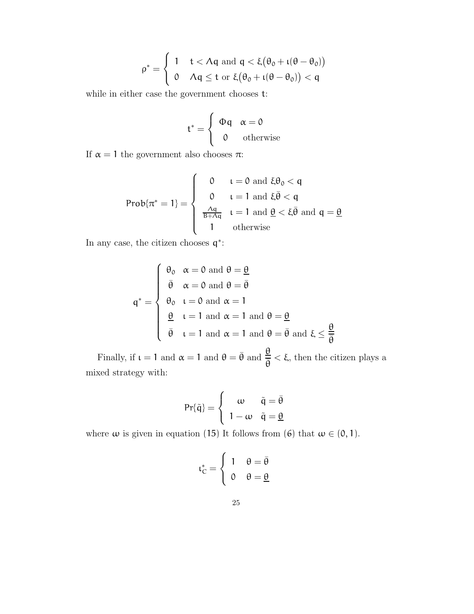$$
\rho^* = \left\{ \begin{array}{ll} 1 & t < \Lambda q \text{ and } q < \xi \big( \theta_0 + \iota (\theta - \theta_0) \big) \\ 0 & \Lambda q \leq t \text{ or } \xi \big( \theta_0 + \iota (\theta - \theta_0) \big) < q \end{array} \right.
$$

while in either case the government chooses t:

$$
t^* = \begin{cases} \Phi q & \alpha = 0 \\ 0 & \text{otherwise} \end{cases}
$$

If  $\alpha = 1$  the government also chooses  $\pi$ :

$$
Prob\{\pi^*=1\} = \left\{\begin{array}{cl} 0 & t=0 \text{ and } \xi\theta_0 < q \\ 0 & t=1 \text{ and } \xi\bar{\theta} < q \\ \frac{\Lambda q}{B+\Lambda q} & t=1 \text{ and } \underline{\theta} < \xi\bar{\theta} \text{ and } q=\underline{\theta} \\ 1 & \text{otherwise} \end{array}\right.
$$

In any case, the citizen chooses  $q^*$ :

$$
q^* = \begin{cases} \theta_0 & \alpha = 0 \text{ and } \theta = \frac{\theta}{\theta} \\ \bar{\theta} & \alpha = 0 \text{ and } \theta = \bar{\theta} \\ \theta_0 & \iota = 0 \text{ and } \alpha = 1 \\ \frac{\theta}{\bar{\theta}} & \iota = 1 \text{ and } \alpha = 1 \text{ and } \theta = \frac{\theta}{\bar{\theta}} \\ \bar{\theta} & \iota = 1 \text{ and } \alpha = 1 \text{ and } \theta = \bar{\theta} \text{ and } \xi \leq \frac{\theta}{\bar{\theta}} \end{cases}
$$

Finally, if  $\iota = 1$  and  $\alpha = 1$  and  $\theta = \bar{\theta}$  and  $\frac{\theta}{\bar{\theta}}$  $\frac{dS}{dS} < \xi$ , then the citizen plays a mixed strategy with:

$$
Pr{\tilde{q}} = \begin{cases} \omega & \tilde{q} = \bar{\theta} \\ 1 - \omega & \tilde{q} = \underline{\theta} \end{cases}
$$

where  $\omega$  is given in equation (15) It follows from (6) that  $\omega \in (0, 1)$ .

$$
\iota_C^* = \begin{cases} 1 & \theta = \bar{\theta} \\ 0 & \theta = \underline{\theta} \end{cases}
$$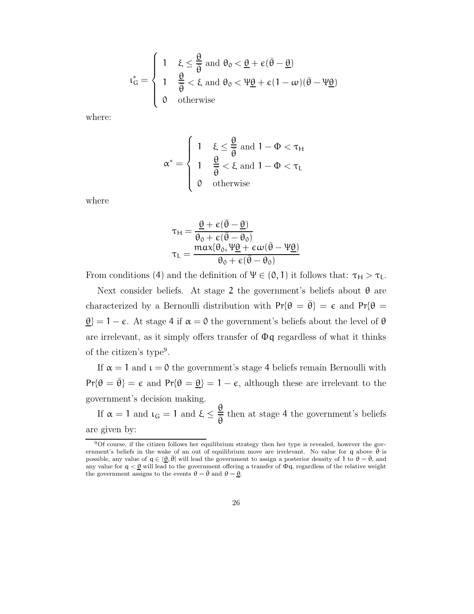$$
\iota_G^* = \left\{ \begin{array}{ll} 1 & \xi \leq \displaystyle\frac{\theta}{\bar{\theta}} \text{ and } \theta_0 < \underline{\theta} + \varepsilon(\bar{\theta} - \underline{\theta}) \\[0.3cm] 1 & \displaystyle\frac{\theta}{\bar{\theta}} < \xi \text{ and } \theta_0 < \Psi\underline{\theta} + \varepsilon(1-\omega)(\bar{\theta} - \Psi\underline{\theta}) \\[0.3cm] 0 & \text{otherwise} \end{array} \right.
$$

where:

$$
\alpha^* = \begin{cases} 1 & \xi \le \frac{\theta}{\overline{\theta}} \text{ and } 1 - \Phi < \tau_H \\ 1 & \frac{\theta}{\overline{\theta}} < \xi \text{ and } 1 - \Phi < \tau_L \\ 0 & \text{otherwise} \end{cases}
$$

where

$$
\tau_{H} = \frac{\underline{\theta} + \varepsilon(\bar{\theta} - \underline{\theta})}{\theta_{0} + \varepsilon(\bar{\theta} - \theta_{0})}
$$
\n
$$
\tau_{L} = \frac{\max\{\theta_{0}, \Psi\underline{\theta} + \varepsilon\omega(\bar{\theta} - \Psi\underline{\theta})\}}{\theta_{0} + \varepsilon(\bar{\theta} - \theta_{0})}
$$

From conditions (4) and the definition of  $\Psi \in (0, 1)$  it follows that:  $\tau_H > \tau_L$ .

Next consider beliefs. At stage 2 the government's beliefs about  $\theta$  are characterized by a Bernoulli distribution with  $Pr{\theta = \bar{\theta}} = \epsilon$  and  $Pr{\theta = \bar{\theta}}$  $\Theta$  = 1 –  $\epsilon$ . At stage 4 if  $\alpha = 0$  the government's beliefs about the level of  $\theta$ are irrelevant, as it simply offers transfer of  $\Phi q$  regardless of what it thinks of the citizen's type 9 .

If  $\alpha = 1$  and  $\iota = 0$  the government's stage 4 beliefs remain Bernoulli with  $Pr{\theta = \bar{\theta}} = \epsilon$  and  $Pr{\theta = \theta} = 1 - \epsilon$ , although these are irrelevant to the government's decision making.

If  $\alpha = 1$  and  $\iota_G = 1$  and  $\xi \leq \frac{\theta}{\overline{R}}$  $\frac{dS}{d\theta}$  then at stage 4 the government's beliefs are given by:

<sup>9</sup>Of course, if the citizen follows her equilibrium strategy then her type is revealed, however the government's beliefs in the wake of an out of equilibrium move are irrelevant. No value for q above  $\bar{\theta}$  is possible, any value of  $q \in (\underline{\theta}, \overline{\theta}]$  will lead the government to assign a posterior density of 1 to  $\theta = \overline{\theta}$ , and any value for  $q < \theta$  will lead to the government offering a transfer of  $\Phi q$ , regardless of the relative weight the government assigns to the events  $\theta = \bar{\theta}$  and  $\theta = \underline{\theta}$ .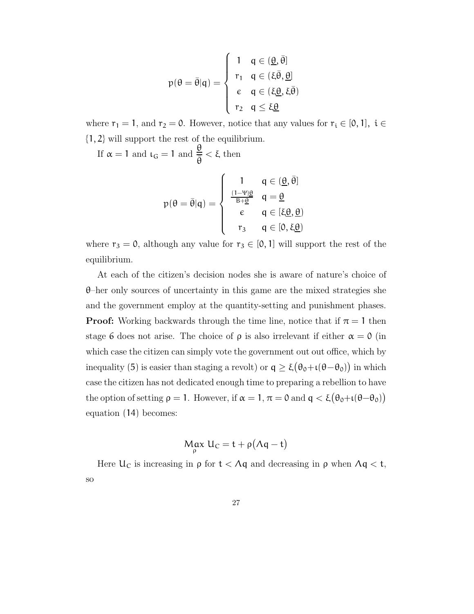$$
p(\theta = \bar{\theta}|q) = \begin{cases} 1 & q \in (\underline{\theta}, \bar{\theta}] \\ r_1 & q \in (\xi \bar{\theta}, \underline{\theta}] \\ \epsilon & q \in (\xi \underline{\theta}, \xi \bar{\theta}) \\ r_2 & q \le \xi \underline{\theta} \end{cases}
$$

where  $r_1 = 1$ , and  $r_2 = 0$ . However, notice that any values for  $r_i \in [0, 1]$ ,  $i \in$ {1, 2} will support the rest of the equilibrium.

If  $\alpha = 1$  and  $\iota_G = 1$  and  $\frac{\theta}{\overline{\theta}} < \xi$  then

$$
p(\theta = \bar{\theta}|q) = \begin{cases} \n1 & q \in (\underline{\theta}, \bar{\theta}] \\
\frac{(1-\Psi)\theta}{B+\underline{\theta}} & q = \underline{\theta} \\
\epsilon & q \in [\xi\underline{\theta}, \underline{\theta}) \\
r_3 & q \in [0, \xi\underline{\theta})\n\end{cases}
$$

where  $r_3 = 0$ , although any value for  $r_3 \in [0, 1]$  will support the rest of the equilibrium.

At each of the citizen's decision nodes she is aware of nature's choice of  $\theta$ –her only sources of uncertainty in this game are the mixed strategies she and the government employ at the quantity-setting and punishment phases. **Proof:** Working backwards through the time line, notice that if  $\pi = 1$  then stage 6 does not arise. The choice of  $\rho$  is also irrelevant if either  $\alpha = 0$  (in which case the citizen can simply vote the government out out office, which by inequality (5) is easier than staging a revolt) or  $q \geq \xi(\theta_0 + \iota(\theta - \theta_0))$  in which case the citizen has not dedicated enough time to preparing a rebellion to have the option of setting  $\rho = 1$ . However, if  $\alpha = 1, \pi = 0$  and  $q < \xi(\theta_0 + \iota(\theta - \theta_0))$ equation (14) becomes:

$$
M_{\rho}ax U_{C} = t + \rho(\Lambda q - t)
$$

Here  $U_C$  is increasing in  $\rho$  for  $t < \Lambda q$  and decreasing in  $\rho$  when  $\Lambda q < t$ , so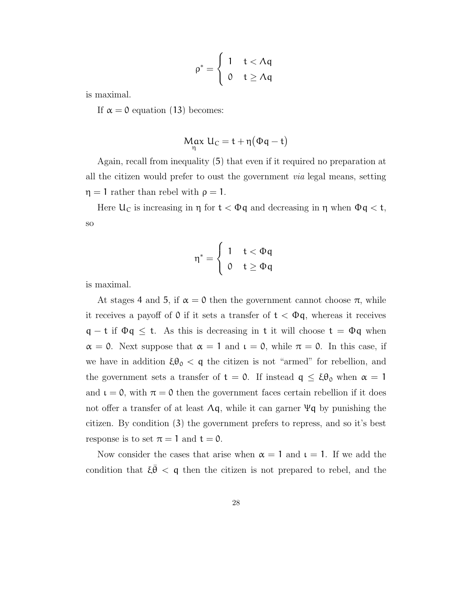$$
\rho^* = \begin{cases} 1 & t < \Lambda q \\ 0 & t \geq \Lambda q \end{cases}
$$

is maximal.

If  $\alpha = 0$  equation (13) becomes:

$$
\operatorname*{Max}_{\eta} U_C = t + \eta (\Phi q - t)
$$

Again, recall from inequality (5) that even if it required no preparation at all the citizen would prefer to oust the government via legal means, setting  $\eta = 1$  rather than rebel with  $\rho = 1$ .

Here  $U_C$  is increasing in  $\eta$  for  $t < \Phi q$  and decreasing in  $\eta$  when  $\Phi q < t$ , so

$$
\eta^* = \left\{ \begin{array}{ll} 1 & t < \Phi q \\ 0 & t \geq \Phi q \end{array} \right.
$$

is maximal.

At stages 4 and 5, if  $\alpha = 0$  then the government cannot choose  $\pi$ , while it receives a payoff of 0 if it sets a transfer of  $t < \Phi q$ , whereas it receives  $q - t$  if  $\Phi q \leq t$ . As this is decreasing in t it will choose  $t = \Phi q$  when  $\alpha = 0$ . Next suppose that  $\alpha = 1$  and  $\iota = 0$ , while  $\pi = 0$ . In this case, if we have in addition  $\xi \theta_0 < q$  the citizen is not "armed" for rebellion, and the government sets a transfer of  $t = 0$ . If instead  $q \leq \xi \theta_0$  when  $\alpha = 1$ and  $\iota = 0$ , with  $\pi = 0$  then the government faces certain rebellion if it does not offer a transfer of at least  $\Lambda q$ , while it can garner  $\Psi q$  by punishing the citizen. By condition (3) the government prefers to repress, and so it's best response is to set  $\pi = 1$  and  $t = 0$ .

Now consider the cases that arise when  $\alpha = 1$  and  $\iota = 1$ . If we add the condition that  $\xi \bar{\theta} < \mathfrak{q}$  then the citizen is not prepared to rebel, and the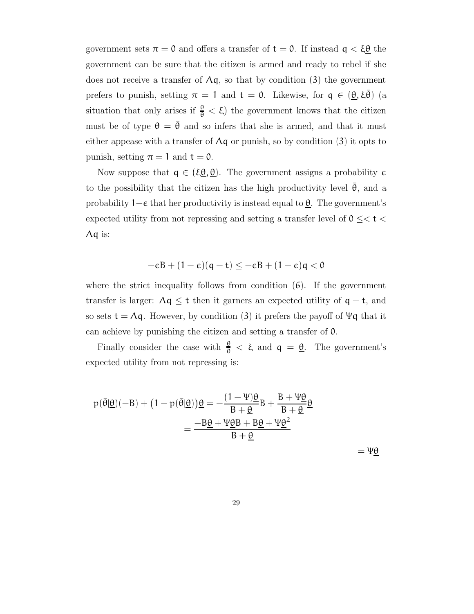government sets  $\pi = 0$  and offers a transfer of  $t = 0$ . If instead  $q < \xi \underline{\theta}$  the government can be sure that the citizen is armed and ready to rebel if she does not receive a transfer of  $\Lambda q$ , so that by condition (3) the government prefers to punish, setting  $\pi = 1$  and  $t = 0$ . Likewise, for  $q \in (\underline{\theta}, \xi \overline{\theta})$  (a situation that only arises if  $\frac{\theta}{\theta} < \xi$ ) the government knows that the citizen must be of type  $\theta = \bar{\theta}$  and so infers that she is armed, and that it must either appease with a transfer of  $\Lambda q$  or punish, so by condition (3) it opts to punish, setting  $\pi = 1$  and  $t = 0$ .

Now suppose that  $q \in (\xi \underline{\theta}, \underline{\theta})$ . The government assigns a probability  $\epsilon$ to the possibility that the citizen has the high productivity level  $\theta$ , and a probability  $1-\epsilon$  that her productivity is instead equal to  $\underline{\theta}$ . The government's expected utility from not repressing and setting a transfer level of  $0 \leq t$ Λq is:

$$
-\varepsilon B + (1-\varepsilon)(q-t) \leq -\varepsilon B + (1-\varepsilon)q < 0
$$

where the strict inequality follows from condition  $(6)$ . If the government transfer is larger:  $\Lambda q \leq t$  then it garners an expected utility of  $q - t$ , and so sets  $t = \Lambda q$ . However, by condition (3) it prefers the payoff of  $\Psi q$  that it can achieve by punishing the citizen and setting a transfer of 0.

Finally consider the case with  $\frac{\theta}{\theta} < \xi$  and  $q = \underline{\theta}$ . The government's expected utility from not repressing is:

$$
p(\bar{\theta}|\underline{\theta})(-B) + (1 - p(\bar{\theta}|\underline{\theta}))\underline{\theta} = -\frac{(1 - \Psi)\underline{\theta}}{B + \underline{\theta}}B + \frac{B + \Psi\underline{\theta}}{B + \underline{\theta}}\underline{\theta}
$$

$$
= \frac{-B\underline{\theta} + \Psi\underline{\theta}B + B\underline{\theta} + \Psi\underline{\theta}^2}{B + \underline{\theta}}
$$

 $=\Psi\theta$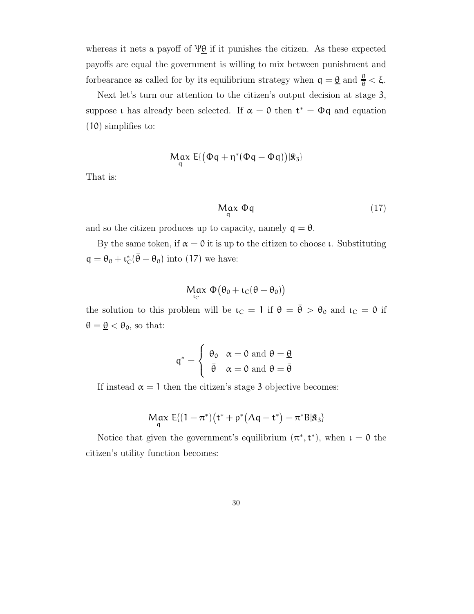whereas it nets a payoff of  $\Psi \underline{\theta}$  if it punishes the citizen. As these expected payoffs are equal the government is willing to mix between punishment and for bearance as called for by its equilibrium strategy when  $q = \underline{\theta}$  and  $\frac{\theta}{\theta} < \xi$ .

Next let's turn our attention to the citizen's output decision at stage 3, suppose t has already been selected. If  $\alpha = 0$  then  $t^* = \Phi q$  and equation (10) simplifies to:

$$
M_{q}\alpha x\ E\{ \big(\Phi q + \eta^*(\Phi q - \Phi q)\big)|\Re_3\}
$$

That is:

$$
\operatorname*{Max}_{q} \Phi q \tag{17}
$$

and so the citizen produces up to capacity, namely  $q = \theta$ .

By the same token, if  $\alpha = 0$  it is up to the citizen to choose *ι*. Substituting  $q = \theta_0 + \iota_0^*$  $_{\rm C}^*$ ( $\bar{\theta} - \theta_0$ ) into (17) we have:

$$
\underset{\iota_{C}}{\text{Max}} \ \Phi(\theta_{0} + \iota_{C}(\theta - \theta_{0}))
$$

the solution to this problem will be  $\iota_C = 1$  if  $\theta = \bar{\theta} > \theta_0$  and  $\iota_C = 0$  if  $\theta = \underline{\theta} < \theta_0$ , so that:

$$
q^* = \begin{cases} \theta_0 & \alpha = 0 \text{ and } \theta = \underline{\theta} \\ \bar{\theta} & \alpha = 0 \text{ and } \theta = \bar{\theta} \end{cases}
$$

If instead  $\alpha = 1$  then the citizen's stage 3 objective becomes:

$$
\underset{q}{\text{Max}}\ E\{(1-\pi^*)(t^*+\rho^*(\Lambda q-t^*)-\pi^*B|\hat{\mathbf{x}}_3\}
$$

Notice that given the government's equilibrium  $(\pi^*, t^*)$ , when  $\iota = 0$  the citizen's utility function becomes: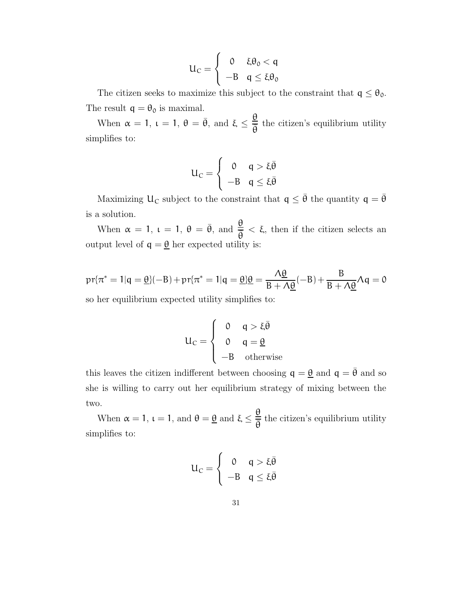$$
U_C = \begin{cases} 0 & \xi \theta_0 < q \\ -B & q \le \xi \theta_0 \end{cases}
$$

The citizen seeks to maximize this subject to the constraint that  $q \leq \theta_0$ . The result  $q = \theta_0$  is maximal.

When  $\alpha = 1$ ,  $\iota = 1$ ,  $\theta = \bar{\theta}$ , and  $\xi \leq \frac{\theta}{2}$  $\frac{a}{\overline{\theta}}$  the citizen's equilibrium utility simplifies to:

$$
U_C = \begin{cases} 0 & q > \xi \bar{\theta} \\ -B & q \leq \xi \bar{\theta} \end{cases}
$$

Maximizing  $U_C$  subject to the constraint that  $q \leq \bar{\theta}$  the quantity  $q = \bar{\theta}$ is a solution.

When  $\alpha = 1$ ,  $\iota = 1$ ,  $\theta = \bar{\theta}$ , and  $\frac{\theta}{\bar{a}}$  $\frac{\epsilon}{\overline{\theta}}$  <  $\xi$ , then if the citizen selects an output level of  $q = \underline{\theta}$  her expected utility is:

$$
pr\{\pi^* = 1 | q = \underline{\theta}\}(-B) + pr\{\pi^* = 1 | q = \underline{\theta}\}\underline{\theta} = \frac{\Lambda\underline{\theta}}{B + \Lambda\underline{\theta}}(-B) + \frac{B}{B + \Lambda\underline{\theta}}\Lambda q = 0
$$

so her equilibrium expected utility simplifies to:

$$
U_C = \begin{cases} 0 & q > \xi \bar{\theta} \\ 0 & q = \underline{\theta} \\ -B & \text{otherwise} \end{cases}
$$

this leaves the citizen indifferent between choosing  $q = \underline{\theta}$  and  $q = \overline{\theta}$  and so she is willing to carry out her equilibrium strategy of mixing between the two.

When  $\alpha = 1$ ,  $\iota = 1$ , and  $\theta = \underline{\theta}$  and  $\xi \leq \frac{\underline{\theta}}{\overline{z}}$  $\frac{a}{\overline{\theta}}$  the citizen's equilibrium utility simplifies to:

$$
U_C = \begin{cases} 0 & q > \xi \bar{\theta} \\ -B & q \leq \xi \bar{\theta} \end{cases}
$$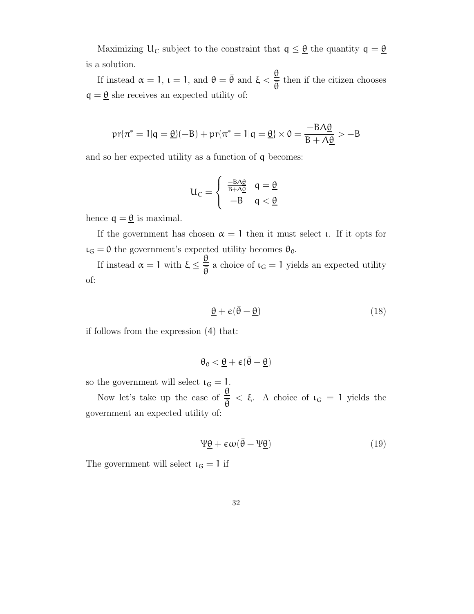Maximizing  $U_C$  subject to the constraint that  $q \leq \underline{\theta}$  the quantity  $q = \underline{\theta}$ is a solution.

If instead  $\alpha = 1$ ,  $\iota = 1$ , and  $\theta = \bar{\theta}$  and  $\xi < \frac{\theta}{\bar{\theta}}$  $\frac{a}{\overline{\theta}}$  then if the citizen chooses  $q = \underline{\theta}$  she receives an expected utility of:

$$
\text{pr}\{\pi^* = 1 | \mathbf{q} = \underline{\theta}\}(-\mathbf{B}) + \text{pr}\{\pi^* = 1 | \mathbf{q} = \underline{\theta}\} \times \mathbf{0} = \frac{-\mathbf{B}\Lambda\underline{\theta}}{\mathbf{B} + \Lambda\underline{\theta}} > -\mathbf{B}
$$

and so her expected utility as a function of q becomes:

$$
U_C = \begin{cases} \frac{-B \wedge \underline{\theta}}{B + \wedge \underline{\theta}} & q = \underline{\theta} \\ -B & q < \underline{\theta} \end{cases}
$$

hence  $q = \underline{\theta}$  is maximal.

If the government has chosen  $\alpha = 1$  then it must select *ι*. If it opts for  $\iota_G = 0$  the government's expected utility becomes  $\theta_0$ .

If instead  $\alpha = 1$  with  $\xi \leq \frac{\theta}{2}$  $\frac{\mathbf{e}}{\mathbf{\overline{\theta}}}$  a choice of  $\mathfrak{t}_{\mathbf{G}} = 1$  yields an expected utility of:

$$
\underline{\theta} + \varepsilon (\bar{\theta} - \underline{\theta}) \tag{18}
$$

if follows from the expression (4) that:

$$
\theta_0 < \underline{\theta} + \varepsilon(\bar{\theta} - \underline{\theta})
$$

so the government will select  $\iota_G = 1$ .

Now let's take up the case of  $\frac{\theta}{2}$  $\frac{\mathbf{e}}{\overline{\theta}} < \xi$ . A choice of  $\iota_{\mathsf{G}} = 1$  yields the government an expected utility of:

$$
\Psi \underline{\theta} + \epsilon \omega (\bar{\theta} - \Psi \underline{\theta}) \tag{19}
$$

The government will select  $\iota_G = 1$  if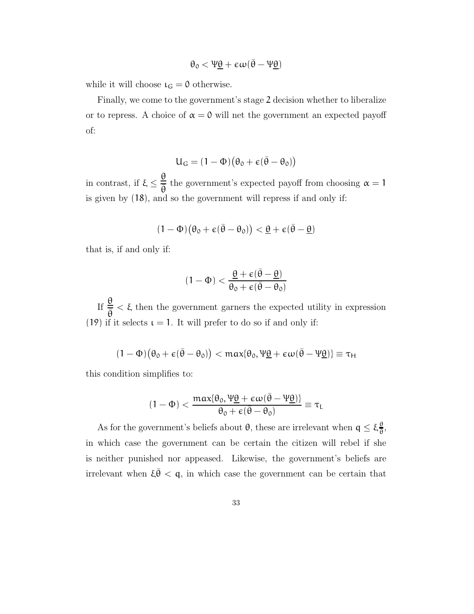$$
\theta_0 < \Psi \underline{\theta} + \varepsilon \omega (\bar{\theta} - \Psi \underline{\theta})
$$

while it will choose  $\iota_G = 0$  otherwise.

Finally, we come to the government's stage 2 decision whether to liberalize or to repress. A choice of  $\alpha = 0$  will net the government an expected payoff of:

$$
U_G = (1 - \Phi)(\theta_0 + \varepsilon(\bar{\theta} - \theta_0))
$$

in contrast, if  $\xi \leq$ θ  $\frac{\epsilon}{\theta}$  the government's expected payoff from choosing  $\alpha = 1$ is given by (18), and so the government will repress if and only if:

$$
(1-\Phi)\big(\theta_0+\varepsilon(\bar\theta-\theta_0)\big)<\underline{\theta}+\varepsilon(\bar\theta-\underline{\theta})
$$

that is, if and only if:

$$
(1-\Phi)<\frac{\underline{\theta}+\varepsilon(\bar{\theta}-\underline{\theta})}{\theta_0+\varepsilon(\bar{\theta}-\theta_0)}
$$

If  $\frac{\theta}{\overline{2}}$  $\frac{\delta}{\overline{\theta}}$  <  $\xi$  then the government garners the expected utility in expression (19) if it selects  $\iota = 1$ . It will prefer to do so if and only if:

$$
(1-\Phi)\big(\theta_0+\varepsilon(\bar\theta-\theta_0)\big)<\text{max}\{\theta_0,\Psi\underline\theta+\varepsilon\omega(\bar\theta-\Psi\underline\theta)\}\equiv\tau_H
$$

this condition simplifies to:

$$
(1-\Phi)<\frac{max\{\theta_0,\Psi\underline{\theta}+\varepsilon\omega(\bar{\theta}-\Psi\underline{\theta})\}}{\theta_0+\varepsilon(\bar{\theta}-\theta_0)}\equiv\tau_L
$$

As for the government's beliefs about  $\theta$ , these are irrelevant when  $q \leq \xi \frac{\theta}{\overline{a}}$  $\frac{\theta}{\theta}$ in which case the government can be certain the citizen will rebel if she is neither punished nor appeased. Likewise, the government's beliefs are irrelevant when  $\xi \bar{\theta} < \mathfrak{q}$ , in which case the government can be certain that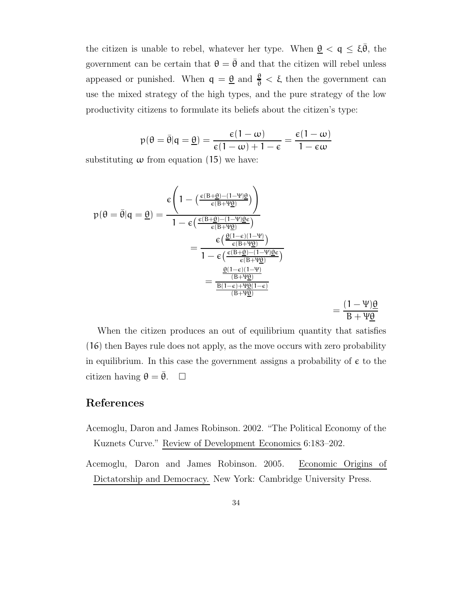the citizen is unable to rebel, whatever her type. When  $\underline{\theta} < \mathfrak{q} \leq \xi \overline{\theta}$ , the government can be certain that  $\theta = \bar{\theta}$  and that the citizen will rebel unless appeased or punished. When  $q = \underline{\theta}$  and  $\frac{\theta}{\theta} < \xi$  then the government can use the mixed strategy of the high types, and the pure strategy of the low productivity citizens to formulate its beliefs about the citizen's type:

$$
p(\theta = \bar{\theta} | q = \underline{\theta}) = \frac{\varepsilon(1-\omega)}{\varepsilon(1-\omega)+1-\varepsilon} = \frac{\varepsilon(1-\omega)}{1-\varepsilon\omega}
$$

substituting  $\omega$  from equation (15) we have:

$$
p(\theta = \bar{\theta}|q = \underline{\theta}) = \frac{\epsilon \left(1 - \left(\frac{\epsilon(B + \underline{\theta}) - (1 - \Psi)\underline{\theta}}{\epsilon(B + \Psi\underline{\theta})}\right)\right)}{1 - \epsilon \left(\frac{\epsilon(B + \underline{\theta}) - (1 - \Psi)\underline{\theta}\epsilon}{\epsilon(B + \Psi\underline{\theta})}\right)}
$$

$$
= \frac{\epsilon \left(\frac{\underline{\theta}(1 - \epsilon)(1 - \Psi)}{\epsilon(B + \Psi\underline{\theta})}\right)}{1 - \epsilon \left(\frac{\epsilon(B + \underline{\theta}) - (1 - \Psi)\underline{\theta}\epsilon}{\epsilon(B + \Psi\underline{\theta})}\right)}
$$

$$
= \frac{\frac{\underline{\theta}(1 - \epsilon)(1 - \Psi)}{(B + \Psi\underline{\theta})}}{\frac{B(1 - \epsilon) + \Psi\underline{\theta}(1 - \epsilon)}{(B + \Psi\underline{\theta})}}
$$

$$
= \frac{(1 - \Psi)\underline{\theta}}{B + \Psi\underline{\theta}}
$$

When the citizen produces an out of equilibrium quantity that satisfies (16) then Bayes rule does not apply, as the move occurs with zero probability in equilibrium. In this case the government assigns a probability of  $\epsilon$  to the citizen having  $\theta = \bar{\theta}$ .  $\Box$ 

# References

- Acemoglu, Daron and James Robinson. 2002. "The Political Economy of the Kuznets Curve." Review of Development Economics 6:183–202.
- Acemoglu, Daron and James Robinson. 2005. Economic Origins of Dictatorship and Democracy. New York: Cambridge University Press.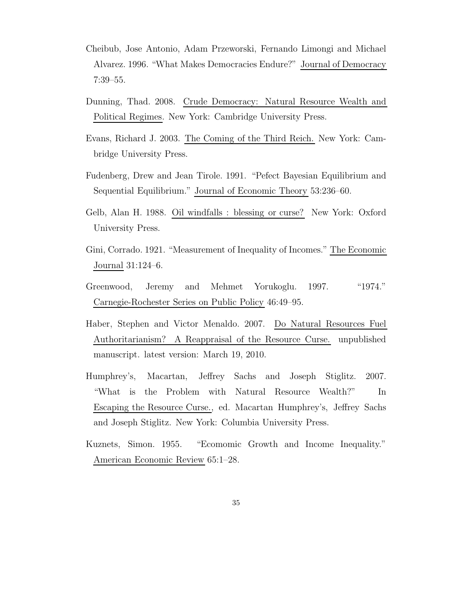- Cheibub, Jose Antonio, Adam Przeworski, Fernando Limongi and Michael Alvarez. 1996. "What Makes Democracies Endure?" Journal of Democracy 7:39–55.
- Dunning, Thad. 2008. Crude Democracy: Natural Resource Wealth and Political Regimes. New York: Cambridge University Press.
- Evans, Richard J. 2003. The Coming of the Third Reich. New York: Cambridge University Press.
- Fudenberg, Drew and Jean Tirole. 1991. "Pefect Bayesian Equilibrium and Sequential Equilibrium." Journal of Economic Theory 53:236–60.
- Gelb, Alan H. 1988. Oil windfalls : blessing or curse? New York: Oxford University Press.
- Gini, Corrado. 1921. "Measurement of Inequality of Incomes." The Economic Journal 31:124–6.
- Greenwood, Jeremy and Mehmet Yorukoglu. 1997. "1974." Carnegie-Rochester Series on Public Policy 46:49–95.
- Haber, Stephen and Victor Menaldo. 2007. Do Natural Resources Fuel Authoritarianism? A Reappraisal of the Resource Curse. unpublished manuscript. latest version: March 19, 2010.
- Humphrey's, Macartan, Jeffrey Sachs and Joseph Stiglitz. 2007. "What is the Problem with Natural Resource Wealth?" In Escaping the Resource Curse., ed. Macartan Humphrey's, Jeffrey Sachs and Joseph Stiglitz. New York: Columbia University Press.
- Kuznets, Simon. 1955. "Ecomomic Growth and Income Inequality." American Economic Review 65:1–28.